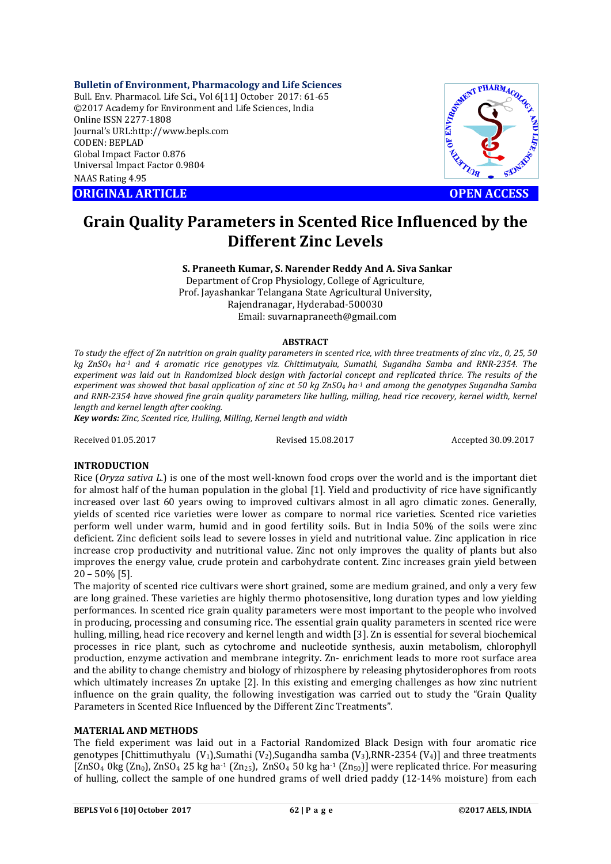**Bulletin of Environment, Pharmacology and Life Sciences** Bull. Env. Pharmacol. Life Sci., Vol 6[11] October 2017: 61-65

©2017 Academy for Environment and Life Sciences, India Online ISSN 2277-1808 Journal's URL:http://www.bepls.com CODEN: BEPLAD Global Impact Factor 0.876 Universal Impact Factor 0.9804 NAAS Rating 4.95 CORIGINAL ARTICLE<br>
ORIGINAL ARTICLE<br>
ORIGINAL ARTICLE<br>
ORIGINAL ARTICLE<br>
ORIGINAL ARTICLE<br>
ORIGINAL ARTICLE<br>
ORIGINAL ARTICLE<br>
OPEN ACCESS



# **Grain Quality Parameters in Scented Rice Influenced by the Different Zinc Levels**

**S. Praneeth Kumar, S. Narender Reddy And A. Siva Sankar** Department of Crop Physiology, College of Agriculture, Prof. Jayashankar Telangana State Agricultural University, Rajendranagar, Hyderabad-500030 Email: suvarnapraneeth@gmail.com

### **ABSTRACT**

*To study the effect of Zn nutrition on grain quality parameters in scented rice, with three treatments of zinc viz., 0, 25, 50 kg ZnSO4 ha-1 and 4 aromatic rice genotypes viz. Chittimutyalu, Sumathi, Sugandha Samba and RNR-2354. The experiment was laid out in Randomized block design with factorial concept and replicated thrice. The results of the experiment was showed that basal application of zinc at 50 kg ZnSO4 ha-1 and among the genotypes Sugandha Samba*  and RNR-2354 have showed fine grain quality parameters like hulling, milling, head rice recovery, kernel width, kernel *length and kernel length after cooking.*

*Key words: Zinc, Scented rice, Hulling, Milling, Kernel length and width*

Received 01.05.2017 Revised 15.08.2017 Accepted 30.09.2017

## **INTRODUCTION**

Rice (*Oryza sativa L.*) is one of the most well-known food crops over the world and is the important diet for almost half of the human population in the global [1]. Yield and productivity of rice have significantly increased over last 60 years owing to improved cultivars almost in all agro climatic zones. Generally, yields of scented rice varieties were lower as compare to normal rice varieties. Scented rice varieties perform well under warm, humid and in good fertility soils. But in India 50% of the soils were zinc deficient. Zinc deficient soils lead to severe losses in yield and nutritional value. Zinc application in rice increase crop productivity and nutritional value. Zinc not only improves the quality of plants but also improves the energy value, crude protein and carbohydrate content. Zinc increases grain yield between 20 – 50% [5].

The majority of scented rice cultivars were short grained, some are medium grained, and only a very few are long grained. These varieties are highly thermo photosensitive, long duration types and low yielding performances. In scented rice grain quality parameters were most important to the people who involved in producing, processing and consuming rice. The essential grain quality parameters in scented rice were hulling, milling, head rice recovery and kernel length and width [3]. Zn is essential for several biochemical processes in rice plant, such as cytochrome and nucleotide synthesis, auxin metabolism, chlorophyll production, enzyme activation and membrane integrity. Zn- enrichment leads to more root surface area and the ability to change chemistry and biology of rhizosphere by releasing phytosiderophores from roots which ultimately increases Zn uptake [2]. In this existing and emerging challenges as how zinc nutrient influence on the grain quality, the following investigation was carried out to study the "Grain Quality Parameters in Scented Rice Influenced by the Different Zinc Treatments".

# **MATERIAL AND METHODS**

The field experiment was laid out in a Factorial Randomized Black Design with four aromatic rice genotypes [Chittimuthyalu (V<sub>1</sub>),Sumathi (V<sub>2</sub>),Sugandha samba (V<sub>3</sub>),RNR-2354 (V<sub>4</sub>)] and three treatments [ZnSO<sub>4</sub> 0kg (Zn<sub>0</sub>), ZnSO<sub>4</sub> 25 kg ha<sup>-1</sup> (Zn<sub>25</sub>), ZnSO<sub>4</sub> 50 kg ha<sup>-1</sup> (Zn<sub>50</sub>)] were replicated thrice. For measuring of hulling, collect the sample of one hundred grams of well dried paddy (12-14% moisture) from each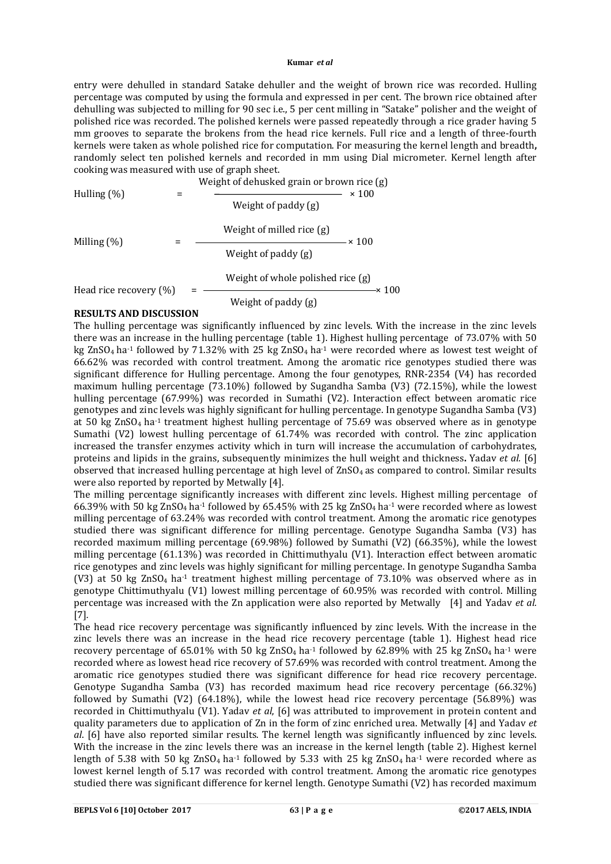#### **Kumar** *et al*

entry were dehulled in standard Satake dehuller and the weight of brown rice was recorded. Hulling percentage was computed by using the formula and expressed in per cent. The brown rice obtained after dehulling was subjected to milling for 90 sec i.e., 5 per cent milling in "Satake" polisher and the weight of polished rice was recorded. The polished kernels were passed repeatedly through a rice grader having 5 mm grooves to separate the brokens from the head rice kernels. Full rice and a length of three-fourth kernels were taken as whole polished rice for computation. For measuring the kernel length and breadth**,**  randomly select ten polished kernels and recorded in mm using Dial micrometer. Kernel length after cooking was measured with use of graph sheet.

| Hulling $(\%)$         | Weight of dehusked grain or brown rice (g)<br>$\times$ 100 |  |  |  |
|------------------------|------------------------------------------------------------|--|--|--|
|                        | Weight of paddy (g)                                        |  |  |  |
|                        | Weight of milled rice (g)<br>$\times$ 100                  |  |  |  |
| Milling $(\%)$         | Weight of paddy (g)                                        |  |  |  |
| Head rice recovery (%) | Weight of whole polished rice (g)<br>-× 100                |  |  |  |
|                        | Weight of paddy (g)                                        |  |  |  |

## **RESULTS AND DISCUSSION**

The hulling percentage was significantly influenced by zinc levels. With the increase in the zinc levels there was an increase in the hulling percentage (table 1). Highest hulling percentage of 73.07% with 50 kg ZnSO<sub>4</sub> ha<sup>-1</sup> followed by 71.32% with 25 kg ZnSO<sub>4</sub> ha<sup>-1</sup> were recorded where as lowest test weight of 66.62% was recorded with control treatment. Among the aromatic rice genotypes studied there was significant difference for Hulling percentage. Among the four genotypes, RNR-2354 (V4) has recorded maximum hulling percentage (73.10%) followed by Sugandha Samba (V3) (72.15%), while the lowest hulling percentage (67.99%) was recorded in Sumathi (V2). Interaction effect between aromatic rice genotypes and zinc levels was highly significant for hulling percentage. In genotype Sugandha Samba (V3) at 50 kg ZnSO<sub>4</sub> ha<sup>-1</sup> treatment highest hulling percentage of 75.69 was observed where as in genotype Sumathi (V2) lowest hulling percentage of 61.74% was recorded with control. The zinc application increased the transfer enzymes activity which in turn will increase the accumulation of carbohydrates, proteins and lipids in the grains, subsequently minimizes the hull weight and thickness**.** Yadav *et al.* [6] observed that increased hulling percentage at high level of  $ZnSO<sub>4</sub>$  as compared to control. Similar results were also reported by reported by Metwally [4].

The milling percentage significantly increases with different zinc levels. Highest milling percentage of 66.39% with 50 kg ZnSO<sub>4</sub> ha<sup>-1</sup> followed by 65.45% with 25 kg ZnSO<sub>4</sub> ha<sup>-1</sup> were recorded where as lowest milling percentage of 63.24% was recorded with control treatment. Among the aromatic rice genotypes studied there was significant difference for milling percentage. Genotype Sugandha Samba (V3) has recorded maximum milling percentage (69.98%) followed by Sumathi (V2) (66.35%), while the lowest milling percentage (61.13%) was recorded in Chittimuthyalu (V1). Interaction effect between aromatic rice genotypes and zinc levels was highly significant for milling percentage. In genotype Sugandha Samba (V3) at 50 kg ZnSO<sub>4</sub> ha<sup>-1</sup> treatment highest milling percentage of 73.10% was observed where as in genotype Chittimuthyalu (V1) lowest milling percentage of 60.95% was recorded with control. Milling percentage was increased with the Zn application were also reported by Metwally [4] and Yadav *et al.*  [7]*.*

The head rice recovery percentage was significantly influenced by zinc levels. With the increase in the zinc levels there was an increase in the head rice recovery percentage (table 1). Highest head rice recovery percentage of 65.01% with 50 kg ZnSO<sub>4</sub> ha<sup>-1</sup> followed by 62.89% with 25 kg ZnSO<sub>4</sub> ha<sup>-1</sup> were recorded where as lowest head rice recovery of 57.69% was recorded with control treatment. Among the aromatic rice genotypes studied there was significant difference for head rice recovery percentage. Genotype Sugandha Samba (V3) has recorded maximum head rice recovery percentage (66.32%) followed by Sumathi (V2) (64.18%), while the lowest head rice recovery percentage (56.89%) was recorded in Chittimuthyalu (V1). Yadav *et al*, [6] was attributed to improvement in protein content and quality parameters due to application of Zn in the form of zinc enriched urea. Metwally [4] and Yadav *et al*. [6] have also reported similar results. The kernel length was significantly influenced by zinc levels. With the increase in the zinc levels there was an increase in the kernel length (table 2). Highest kernel length of 5.38 with 50 kg ZnSO<sub>4</sub> ha<sup>-1</sup> followed by 5.33 with 25 kg ZnSO<sub>4</sub> ha<sup>-1</sup> were recorded where as lowest kernel length of 5.17 was recorded with control treatment. Among the aromatic rice genotypes studied there was significant difference for kernel length. Genotype Sumathi (V2) has recorded maximum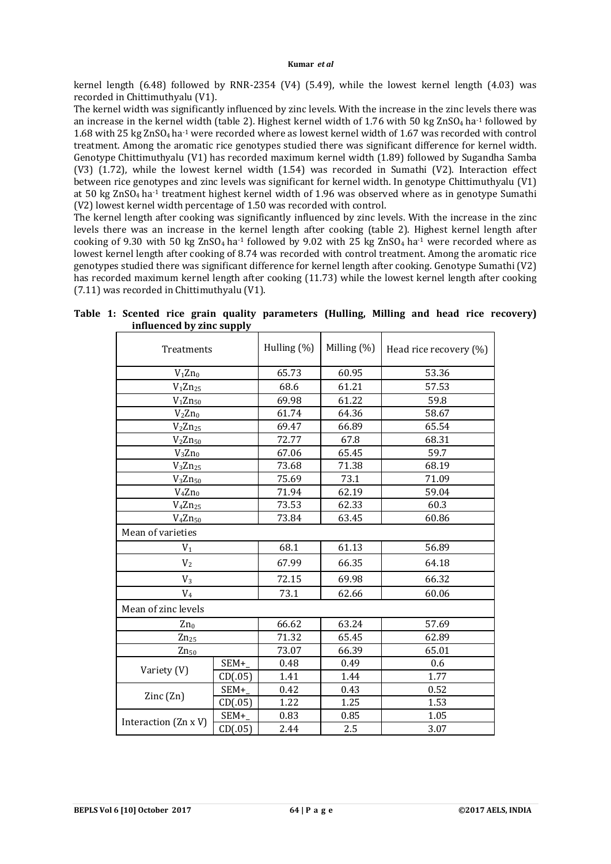kernel length (6.48) followed by RNR-2354 (V4) (5.49), while the lowest kernel length (4.03) was recorded in Chittimuthyalu (V1).

The kernel width was significantly influenced by zinc levels. With the increase in the zinc levels there was an increase in the kernel width (table 2). Highest kernel width of 1.76 with 50 kg ZnSO<sub>4</sub> ha<sup>-1</sup> followed by 1.68 with 25 kg ZnSO4 ha-1 were recorded where as lowest kernel width of 1.67 was recorded with control treatment. Among the aromatic rice genotypes studied there was significant difference for kernel width. Genotype Chittimuthyalu (V1) has recorded maximum kernel width (1.89) followed by Sugandha Samba (V3) (1.72), while the lowest kernel width (1.54) was recorded in Sumathi (V2). Interaction effect between rice genotypes and zinc levels was significant for kernel width. In genotype Chittimuthyalu (V1) at 50 kg ZnSO<sub>4</sub> ha<sup>-1</sup> treatment highest kernel width of 1.96 was observed where as in genotype Sumathi (V2) lowest kernel width percentage of 1.50 was recorded with control.

The kernel length after cooking was significantly influenced by zinc levels. With the increase in the zinc levels there was an increase in the kernel length after cooking (table 2). Highest kernel length after cooking of 9.30 with 50 kg ZnSO<sub>4</sub> ha<sup>-1</sup> followed by 9.02 with 25 kg ZnSO<sub>4</sub> ha<sup>-1</sup> were recorded where as lowest kernel length after cooking of 8.74 was recorded with control treatment. Among the aromatic rice genotypes studied there was significant difference for kernel length after cooking. Genotype Sumathi (V2) has recorded maximum kernel length after cooking (11.73) while the lowest kernel length after cooking (7.11) was recorded in Chittimuthyalu (V1).

| Treatments               |         | Hulling (%) | Milling (%) | Head rice recovery (%) |  |
|--------------------------|---------|-------------|-------------|------------------------|--|
| $V_1 Z n_0$              |         | 65.73       | 60.95       | 53.36                  |  |
| $V_1 Z n_{25}$           |         | 68.6        | 61.21       | 57.53                  |  |
| $V_1 Zn_{50}$            |         |             | 61.22       | 59.8                   |  |
| $V_2 Zn_0$               |         | 61.74       | 64.36       | 58.67                  |  |
| $V_2Zn_{25}$             |         | 69.47       | 66.89       | 65.54                  |  |
| $V_2 Z n_{50}$           |         | 72.77       | 67.8        | 68.31                  |  |
| $V_3 Zn_0$               |         | 67.06       | 65.45       | 59.7                   |  |
| $V_3Zn_{25}$             |         | 73.68       | 71.38       | 68.19                  |  |
| $V_3Zn_{50}$             |         | 75.69       | 73.1        | 71.09                  |  |
| $V_4 Zn_0$               |         | 71.94       | 62.19       | 59.04                  |  |
| $V_4Zn_{25}$             |         |             | 62.33       | 60.3                   |  |
| $V_4Zn_{50}$             |         | 73.84       | 63.45       | 60.86                  |  |
| Mean of varieties        |         |             |             |                        |  |
| $V_1$                    |         | 68.1        | 61.13       | 56.89                  |  |
| V <sub>2</sub>           |         | 67.99       | 66.35       | 64.18                  |  |
| $V_3$                    |         | 72.15       | 69.98       | 66.32                  |  |
| $V_4$                    |         | 73.1        | 62.66       | 60.06                  |  |
| Mean of zinc levels      |         |             |             |                        |  |
| $Zn_0$                   |         | 66.62       | 63.24       | 57.69                  |  |
| $Zn_{25}$                |         | 71.32       | 65.45       | 62.89                  |  |
| $Zn_{50}$                |         | 73.07       | 66.39       | 65.01                  |  |
| Variety (V)              | SEM+    | 0.48        | 0.49        | 0.6                    |  |
|                          | CD(.05) | 1.41        | 1.44        | 1.77                   |  |
| $\text{Zinc}(\text{Zn})$ | SEM+    | 0.42        | 0.43        | 0.52                   |  |
|                          | CD(.05) | 1.22        | 1.25        | 1.53                   |  |
| Interaction (Zn x V)     | SEM+    | 0.83        | 0.85        | 1.05                   |  |
|                          | CD(.05) | 2.44        | 2.5         | 3.07                   |  |

**Table 1: Scented rice grain quality parameters (Hulling, Milling and head rice recovery) influenced by zinc supply**